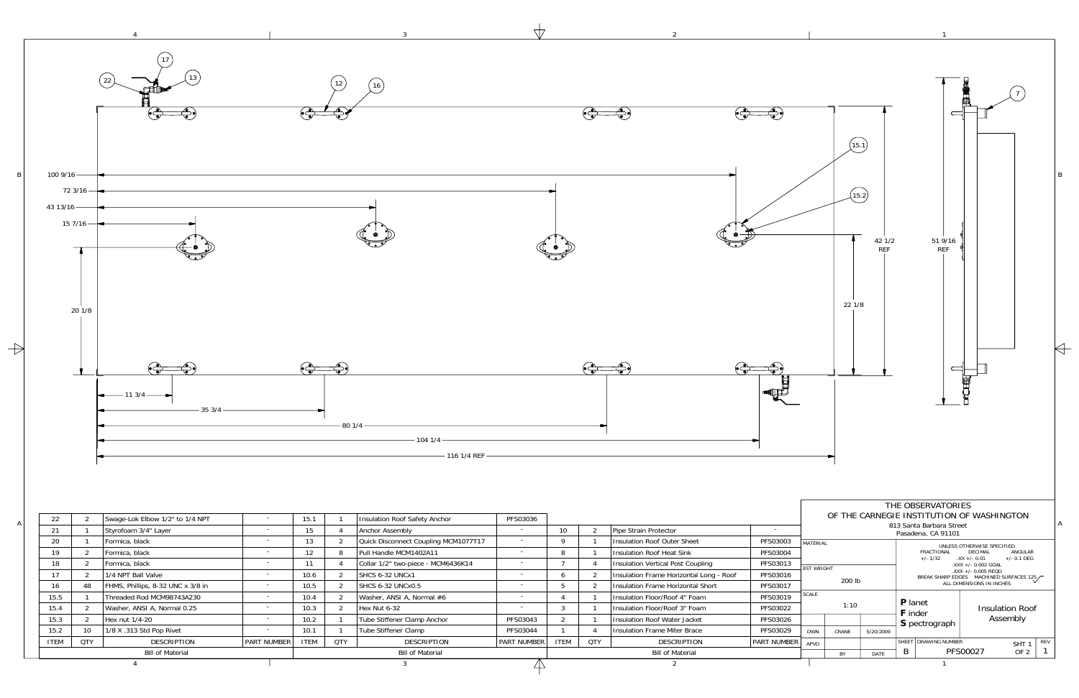1

2

3

4



 $\overline{\mathbb{A}}$ 

BY DATE

PFS00027 OF 2

7 OF 2 | 1

B

Bill of Material

Bill of Material

Bill of Material